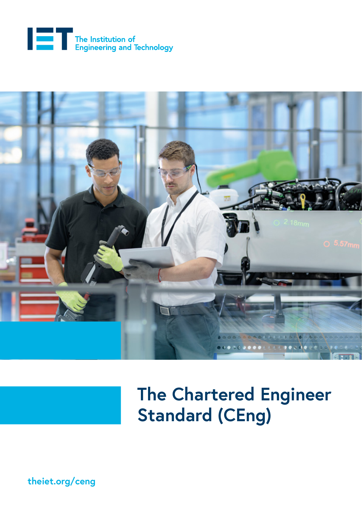



# **The Chartered Engineer Standard (CEng)**

**[theiet.org/ceng](http://theiet.org/ceng)**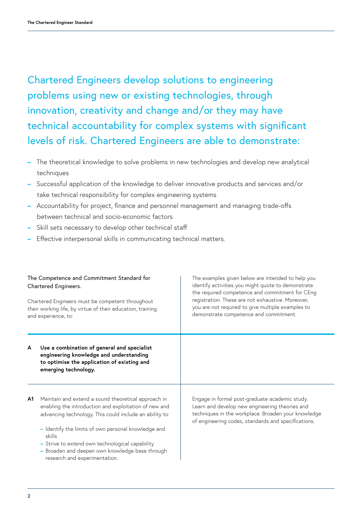Chartered Engineers develop solutions to engineering problems using new or existing technologies, through innovation, creativity and change and/or they may have technical accountability for complex systems with significant levels of risk. Chartered Engineers are able to demonstrate:

- **–** The theoretical knowledge to solve problems in new technologies and develop new analytical techniques
- **–** Successful application of the knowledge to deliver innovative products and services and/or take technical responsibility for complex engineering systems
- **–** Accountability for project, finance and personnel management and managing trade-offs between technical and socio-economic factors
- **–** Skill sets necessary to develop other technical staff
- **–** Effective interpersonal skills in communicating technical matters.

| The Competence and Commitment Standard for<br>Chartered Engineers.<br>Chartered Engineers must be competent throughout<br>their working life, by virtue of their education, training<br>and experience, to: |                                                                                                                                                                                                                                                                                                                                                                               | The examples given below are intended to help you<br>identify activities you might quote to demonstrate<br>the required competence and commitment for CEng<br>registration. These are not exhaustive. Moreover,<br>you are not required to give multiple examples to<br>demonstrate competence and commitment. |
|-------------------------------------------------------------------------------------------------------------------------------------------------------------------------------------------------------------|-------------------------------------------------------------------------------------------------------------------------------------------------------------------------------------------------------------------------------------------------------------------------------------------------------------------------------------------------------------------------------|----------------------------------------------------------------------------------------------------------------------------------------------------------------------------------------------------------------------------------------------------------------------------------------------------------------|
| A                                                                                                                                                                                                           | Use a combination of general and specialist<br>engineering knowledge and understanding<br>to optimise the application of existing and<br>emerging technology.                                                                                                                                                                                                                 |                                                                                                                                                                                                                                                                                                                |
| A1                                                                                                                                                                                                          | Maintain and extend a sound theoretical approach in<br>enabling the introduction and exploitation of new and<br>advancing technology. This could include an ability to:<br>- Identify the limits of own personal knowledge and<br>skills<br>- Strive to extend own technological capability<br>Broaden and deepen own knowledge base through<br>research and experimentation. | Engage in formal post-graduate academic study.<br>Learn and develop new engineering theories and<br>techniques in the workplace. Broaden your knowledge<br>of engineering codes, standards and specifications.                                                                                                 |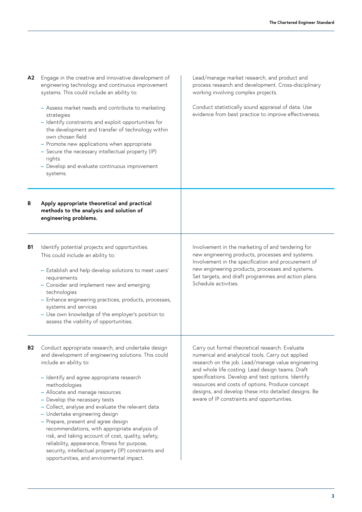| A2        | Engage in the creative and innovative development of<br>engineering technology and continuous improvement<br>systems. This could include an ability to:<br>- Assess market needs and contribute to marketing<br>strategies<br>- Identify constraints and exploit opportunities for<br>the development and transfer of technology within<br>own chosen field<br>- Promote new applications when appropriate<br>- Secure the necessary intellectual property (IP)<br>rights<br>- Develop and evaluate continuous improvement<br>systems.                                                                                                                           | Lead/manage market research, and product and<br>process research and development. Cross-disciplinary<br>working involving complex projects.                                                                                                                                                                                                                                                                                   |  |
|-----------|------------------------------------------------------------------------------------------------------------------------------------------------------------------------------------------------------------------------------------------------------------------------------------------------------------------------------------------------------------------------------------------------------------------------------------------------------------------------------------------------------------------------------------------------------------------------------------------------------------------------------------------------------------------|-------------------------------------------------------------------------------------------------------------------------------------------------------------------------------------------------------------------------------------------------------------------------------------------------------------------------------------------------------------------------------------------------------------------------------|--|
|           |                                                                                                                                                                                                                                                                                                                                                                                                                                                                                                                                                                                                                                                                  | Conduct statistically sound appraisal of data. Use<br>evidence from best practice to improve effectiveness.                                                                                                                                                                                                                                                                                                                   |  |
| В         | Apply appropriate theoretical and practical<br>methods to the analysis and solution of<br>engineering problems.                                                                                                                                                                                                                                                                                                                                                                                                                                                                                                                                                  |                                                                                                                                                                                                                                                                                                                                                                                                                               |  |
| <b>B1</b> | Identify potential projects and opportunities.<br>This could include an ability to:<br>- Establish and help develop solutions to meet users'<br>requirements<br>- Consider and implement new and emerging<br>technologies<br>- Enhance engineering practices, products, processes,<br>systems and services<br>- Use own knowledge of the employer's position to<br>assess the viability of opportunities.                                                                                                                                                                                                                                                        | Involvement in the marketing of and tendering for<br>new engineering products, processes and systems.<br>Involvement in the specification and procurement of<br>new engineering products, processes and systems.<br>Set targets, and draft programmes and action plans.<br>Schedule activities.                                                                                                                               |  |
| <b>B2</b> | Conduct appropriate research, and undertake design<br>and development of engineering solutions. This could<br>include an ability to:<br>- Identify and agree appropriate research<br>methodologies<br>- Allocate and manage resources<br>- Develop the necessary tests<br>- Collect, analyse and evaluate the relevant data<br>- Undertake engineering design<br>- Prepare, present and agree design<br>recommendations, with appropriate analysis of<br>risk, and taking account of cost, quality, safety,<br>reliability, appearance, fitness for purpose,<br>security, intellectual property (IP) constraints and<br>opportunities, and environmental impact. | Carry out formal theoretical research. Evaluate<br>numerical and analytical tools. Carry out applied<br>research on the job. Lead/manage value engineering<br>and whole life costing. Lead design teams. Draft<br>specifications. Develop and test options. Identify<br>resources and costs of options. Produce concept<br>designs, and develop these into detailed designs. Be<br>aware of IP constraints and opportunities. |  |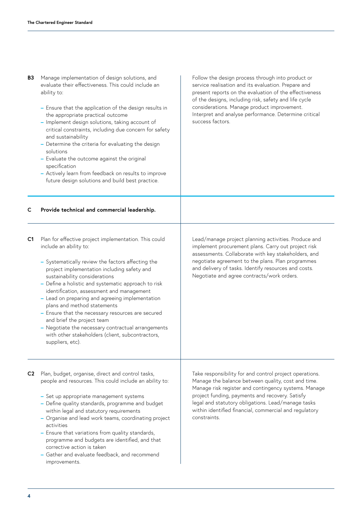- **B3** Manage implementation of design solutions, and evaluate their effectiveness. This could include an ability to:
	- **–** Ensure that the application of the design results in the appropriate practical outcome
	- **–** Implement design solutions, taking account of critical constraints, including due concern for safety and sustainability
	- **–** Determine the criteria for evaluating the design solutions
	- **–** Evaluate the outcome against the original specification
	- **–** Actively learn from feedback on results to improve future design solutions and build best practice.

Follow the design process through into product or service realisation and its evaluation. Prepare and present reports on the evaluation of the effectiveness of the designs, including risk, safety and life cycle considerations. Manage product improvement. Interpret and analyse performance. Determine critical success factors.

#### **Provide technical and commercial leadership. C**

- Plan for effective project implementation. This could **C1** include an ability to:
	- **–** Systematically review the factors affecting the project implementation including safety and sustainability considerations
	- **–** Define a holistic and systematic approach to risk identification, assessment and management
	- **–** Lead on preparing and agreeing implementation plans and method statements
	- **–** Ensure that the necessary resources are secured and brief the project team
	- **–** Negotiate the necessary contractual arrangements with other stakeholders (client, subcontractors, suppliers, etc).

Lead/manage project planning activities. Produce and implement procurement plans. Carry out project risk assessments. Collaborate with key stakeholders, and negotiate agreement to the plans. Plan programmes and delivery of tasks. Identify resources and costs. Negotiate and agree contracts/work orders.

- Plan, budget, organise, direct and control tasks, **C2**people and resources. This could include an ability to:
	- **–** Set up appropriate management systems
	- **–** Define quality standards, programme and budget within legal and statutory requirements
	- **–** Organise and lead work teams, coordinating project activities
	- **–** Ensure that variations from quality standards, programme and budgets are identified, and that corrective action is taken
	- **–** Gather and evaluate feedback, and recommend improvements.

Take responsibility for and control project operations. Manage the balance between quality, cost and time. Manage risk register and contingency systems. Manage project funding, payments and recovery. Satisfy legal and statutory obligations. Lead/manage tasks within identified financial, commercial and regulatory constraints.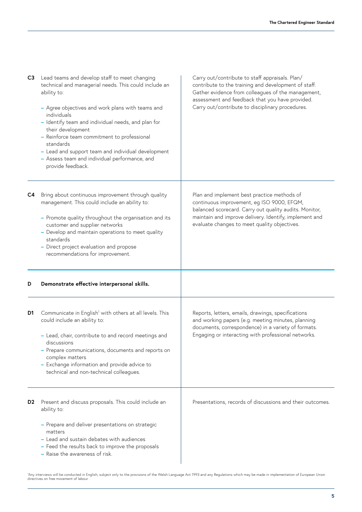| C <sub>3</sub> | Lead teams and develop staff to meet changing<br>technical and managerial needs. This could include an<br>ability to:<br>- Agree objectives and work plans with teams and<br>individuals<br>- Identify team and individual needs, and plan for<br>their development<br>- Reinforce team commitment to professional<br>standards<br>- Lead and support team and individual development<br>- Assess team and individual performance, and<br>provide feedback. | Carry out/contribute to staff appraisals. Plan/<br>contribute to the training and development of staff.<br>Gather evidence from colleagues of the management,<br>assessment and feedback that you have provided.<br>Carry out/contribute to disciplinary procedures. |
|----------------|-------------------------------------------------------------------------------------------------------------------------------------------------------------------------------------------------------------------------------------------------------------------------------------------------------------------------------------------------------------------------------------------------------------------------------------------------------------|----------------------------------------------------------------------------------------------------------------------------------------------------------------------------------------------------------------------------------------------------------------------|
| C4             | Bring about continuous improvement through quality<br>management. This could include an ability to:<br>- Promote quality throughout the organisation and its<br>customer and supplier networks<br>- Develop and maintain operations to meet quality<br>standards<br>- Direct project evaluation and propose<br>recommendations for improvement.                                                                                                             | Plan and implement best practice methods of<br>continuous improvement, eg ISO 9000, EFQM,<br>balanced scorecard. Carry out quality audits. Monitor,<br>maintain and improve delivery. Identify, implement and<br>evaluate changes to meet quality objectives.        |
| D              | Demonstrate effective interpersonal skills.                                                                                                                                                                                                                                                                                                                                                                                                                 |                                                                                                                                                                                                                                                                      |
| D1             | Communicate in English <sup>1</sup> with others at all levels. This<br>could include an ability to:<br>- Lead, chair, contribute to and record meetings and<br>discussions<br>- Prepare communications, documents and reports on<br>complex matters<br>- Exchange information and provide advice to<br>technical and non-technical colleagues.                                                                                                              | Reports, letters, emails, drawings, specifications<br>and working papers (e.g. meeting minutes, planning<br>documents, correspondence) in a variety of formats.<br>Engaging or interacting with professional networks.                                               |
| D2             | Present and discuss proposals. This could include an<br>ability to:<br>- Prepare and deliver presentations on strategic<br>matters<br>- Lead and sustain debates with audiences<br>- Feed the results back to improve the proposals<br>- Raise the awareness of risk.                                                                                                                                                                                       | Presentations, records of discussions and their outcomes.                                                                                                                                                                                                            |

1 Any interviews will be conducted in English, subject only to the provisions of the Welsh Language Act 1993 and any Regulations which may be made in implementation of European Union directives on free movement of labour.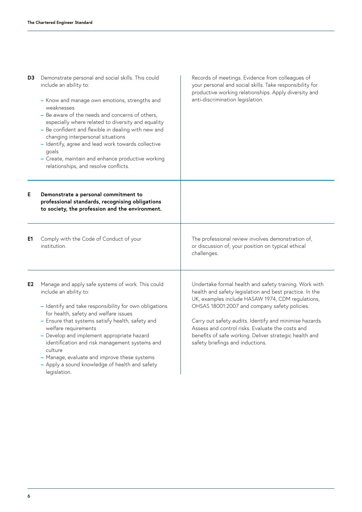| D3 | Demonstrate personal and social skills. This could<br>include an ability to:<br>- Know and manage own emotions, strengths and<br>weaknesses<br>- Be aware of the needs and concerns of others,<br>especially where related to diversity and equality<br>- Be confident and flexible in dealing with new and<br>changing interpersonal situations<br>- Identify, agree and lead work towards collective<br>goals<br>- Create, maintain and enhance productive working<br>relationships, and resolve conflicts. | Records of meetings. Evidence from colleagues of<br>your personal and social skills. Take responsibility for<br>productive working relationships. Apply diversity and<br>anti-discrimination legislation.                                                                                                                                                                                                                            |
|----|---------------------------------------------------------------------------------------------------------------------------------------------------------------------------------------------------------------------------------------------------------------------------------------------------------------------------------------------------------------------------------------------------------------------------------------------------------------------------------------------------------------|--------------------------------------------------------------------------------------------------------------------------------------------------------------------------------------------------------------------------------------------------------------------------------------------------------------------------------------------------------------------------------------------------------------------------------------|
| Е  | Demonstrate a personal commitment to<br>professional standards, recognising obligations<br>to society, the profession and the environment.                                                                                                                                                                                                                                                                                                                                                                    |                                                                                                                                                                                                                                                                                                                                                                                                                                      |
| E1 | Comply with the Code of Conduct of your<br>institution.                                                                                                                                                                                                                                                                                                                                                                                                                                                       | The professional review involves demonstration of,<br>or discussion of, your position on typical ethical<br>challenges.                                                                                                                                                                                                                                                                                                              |
| E2 | Manage and apply safe systems of work. This could<br>include an ability to:<br>- Identify and take responsibility for own obligations<br>for health, safety and welfare issues<br>- Ensure that systems satisfy health, safety and<br>welfare requirements<br>- Develop and implement appropriate hazard<br>identification and risk management systems and<br>culture<br>- Manage, evaluate and improve these systems<br>- Apply a sound knowledge of health and safety<br>legislation.                       | Undertake formal health and safety training. Work with<br>health and safety legislation and best practice. In the<br>UK, examples include HASAW 1974, CDM regulations,<br>OHSAS 18001:2007 and company safety policies.<br>Carry out safety audits. Identify and minimise hazards.<br>Assess and control risks. Evaluate the costs and<br>benefits of safe working. Deliver strategic health and<br>safety briefings and inductions. |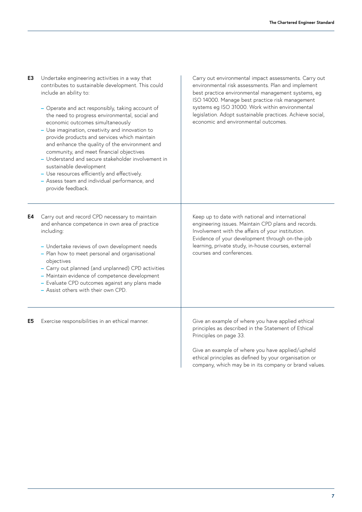| E3 | Undertake engineering activities in a way that<br>contributes to sustainable development. This could<br>include an ability to:<br>- Operate and act responsibly, taking account of<br>the need to progress environmental, social and<br>economic outcomes simultaneously<br>- Use imagination, creativity and innovation to<br>provide products and services which maintain<br>and enhance the quality of the environment and<br>community, and meet financial objectives<br>- Understand and secure stakeholder involvement in<br>sustainable development<br>- Use resources efficiently and effectively.<br>- Assess team and individual performance, and<br>provide feedback. | Carry out environmental impact assessments. Carry out<br>environmental risk assessments. Plan and implement<br>best practice environmental management systems, eg<br>ISO 14000. Manage best practice risk management<br>systems eg ISO 31000. Work within environmental<br>legislation. Adopt sustainable practices. Achieve social,<br>economic and environmental outcomes. |
|----|----------------------------------------------------------------------------------------------------------------------------------------------------------------------------------------------------------------------------------------------------------------------------------------------------------------------------------------------------------------------------------------------------------------------------------------------------------------------------------------------------------------------------------------------------------------------------------------------------------------------------------------------------------------------------------|------------------------------------------------------------------------------------------------------------------------------------------------------------------------------------------------------------------------------------------------------------------------------------------------------------------------------------------------------------------------------|
| E4 | Carry out and record CPD necessary to maintain<br>and enhance competence in own area of practice<br>including:<br>- Undertake reviews of own development needs<br>- Plan how to meet personal and organisational<br>objectives<br>- Carry out planned (and unplanned) CPD activities<br>- Maintain evidence of competence development<br>- Evaluate CPD outcomes against any plans made<br>- Assist others with their own CPD.                                                                                                                                                                                                                                                   | Keep up to date with national and international<br>engineering issues. Maintain CPD plans and records.<br>Involvement with the affairs of your institution.<br>Evidence of your development through on-the-job<br>learning, private study, in-house courses, external<br>courses and conferences.                                                                            |
| E5 | Exercise responsibilities in an ethical manner.                                                                                                                                                                                                                                                                                                                                                                                                                                                                                                                                                                                                                                  | Give an example of where you have applied ethical<br>principles as described in the Statement of Ethical<br>Principles on page 33.<br>Give an example of where you have applied/upheld<br>ethical principles as defined by your organisation or                                                                                                                              |

company, which may be in its company or brand values.